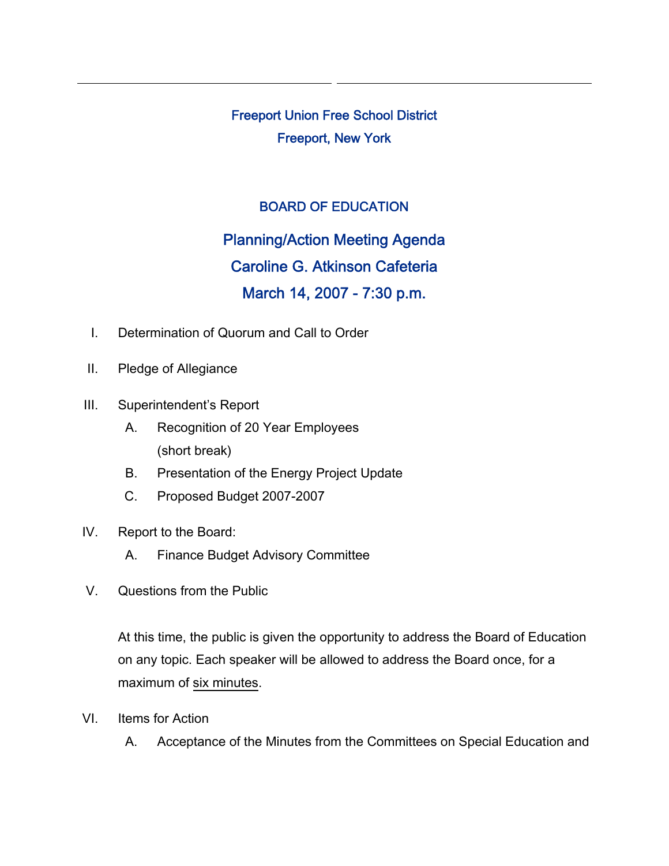Freeport Union Free School District Freeport, New York

## BOARD OF EDUCATION

Planning/Action Meeting Agenda Caroline G. Atkinson Cafeteria March 14, 2007 - 7:30 p.m.

- I. Determination of Quorum and Call to Order
- II. Pledge of Allegiance
- III. Superintendent's Report
	- A. Recognition of 20 Year Employees (short break)
	- B. Presentation of the Energy Project Update
	- C. Proposed Budget 2007-2007
- IV. Report to the Board:
	- A. Finance Budget Advisory Committee
- V. Questions from the Public

At this time, the public is given the opportunity to address the Board of Education on any topic. Each speaker will be allowed to address the Board once, for a maximum of six minutes.

- VI. Items for Action
	- A. Acceptance of the Minutes from the Committees on Special Education and